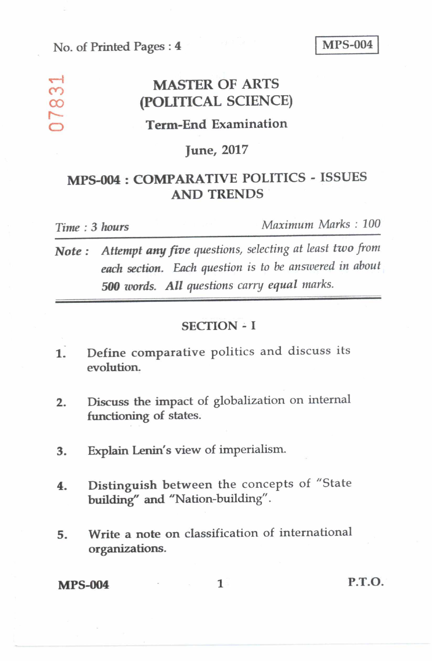## **No. of Printed Pages : 4 MPS-004 I**

## **cf MASTER OF ARTS**<br>∞ *POLITICAL SCIENC* **CO (POLITICAL SCIENCE) Term-End Examination**

#### **June, 2017**

## **MPS-004 : COMPARATIVE POLITICS - ISSUES AND TRENDS**

**%--I** 

**r----** 

*Time : 3 hours Maximum Marks : 100* 

*Note : Attempt any five questions, selecting at least two from each section. Each question is to be answered in about 500 words. All questions carry equal marks.* 

#### **SECTION - I**

- **1. Define comparative** politics and discuss its **evolution.**
- **2. Discuss the impact of** globalization on internal **functioning of states.**
- **3. Explain Lenin's view of imperialism.**
- **4. Distinguish between the** concepts of "State **building" and "Nation-building".**
- **5. Write a note on classification of international organizations.**

## **MPS-004** 1 **P.T.O.**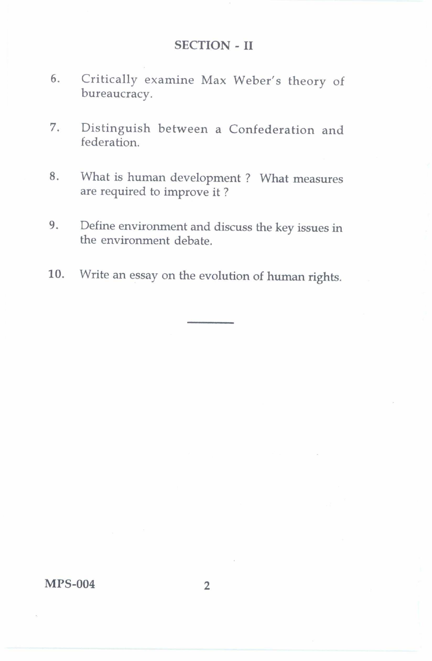#### SECTION - II

- 6. Critically examine Max Weber's theory of bureaucracy.
- 7. Distinguish between a Confederation and federation.
- 8. What is human development ? What measures are required to improve it ?
- 9. Define environment and discuss the key issues in the environment debate.
- 10. Write an essay on the evolution of human rights.

MPS-004 2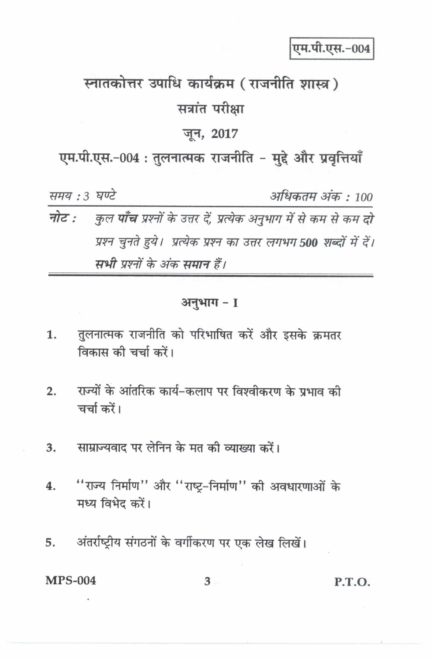एम.पी.एस.-004

# स्नातकोत्तर उपाधि कार्यक्रम (राजनीति शास्त्र) सत्रांत परीक्षा

#### जून, 2017

एम.पी.एस.-004: तुलनात्मक राजनीति - मुद्दे और प्रवृत्तियाँ

समय: 3 घण्टे अधिकतम अंक : 100 नोट : कुल **पाँच** प्रश्नों के उत्तर दें, प्रत्येक अनुभाग में से कम से कम दो प्रश्न चुनते हुये। प्रत्येक प्रश्न का उत्तर लगभग 500 शब्दों में दें। सभी प्रश्नों के अंक समान हैं।

#### अनुभाग - 1

- तुलनात्मक राजनीति को परिभाषित करें और इसके क्रमतर 1. विकास की चर्चा करें।
- राज्यों के आंतरिक कार्य-कलाप पर विश्वीकरण के प्रभाव की  $2.$ चर्चा करें।
- साम्राज्यवाद पर लेनिन के मत की व्याख्या करें। 3.
- "राज्य निर्माण" और "राष्ट्र-निर्माण" की अवधारणाओं के  $\overline{4}$ . मध्य विभेद करें।
- अंतर्राष्ट्रीय संगठनों के वर्गीकरण पर एक लेख लिखें। 5.

**MPS-004**  $3 -$ P.T.O.